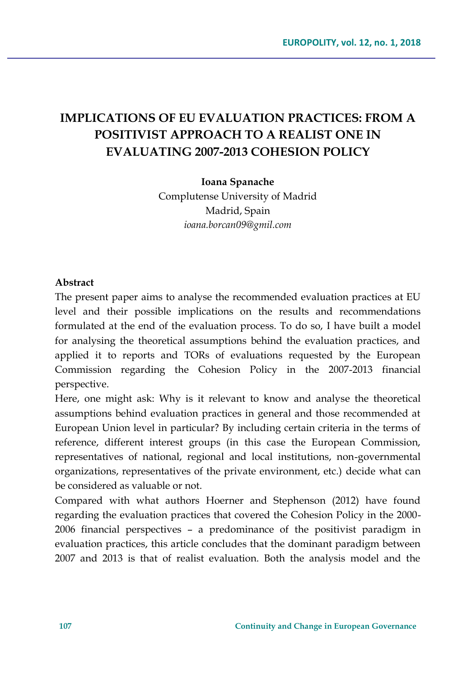# **IMPLICATIONS OF EU EVALUATION PRACTICES: FROM A POSITIVIST APPROACH TO A REALIST ONE IN EVALUATING 2007-2013 COHESION POLICY**

**Ioana Spanache**

Complutense University of Madrid Madrid, Spain *ioana.borcan09@gmil.com*

#### **Abstract**

The present paper aims to analyse the recommended evaluation practices at EU level and their possible implications on the results and recommendations formulated at the end of the evaluation process. To do so, I have built a model for analysing the theoretical assumptions behind the evaluation practices, and applied it to reports and TORs of evaluations requested by the European Commission regarding the Cohesion Policy in the 2007-2013 financial perspective.

Here, one might ask: Why is it relevant to know and analyse the theoretical assumptions behind evaluation practices in general and those recommended at European Union level in particular? By including certain criteria in the terms of reference, different interest groups (in this case the European Commission, representatives of national, regional and local institutions, non-governmental organizations, representatives of the private environment, etc.) decide what can be considered as valuable or not.

Compared with what authors Hoerner and Stephenson (2012) have found regarding the evaluation practices that covered the Cohesion Policy in the 2000- 2006 financial perspectives – a predominance of the positivist paradigm in evaluation practices, this article concludes that the dominant paradigm between 2007 and 2013 is that of realist evaluation. Both the analysis model and the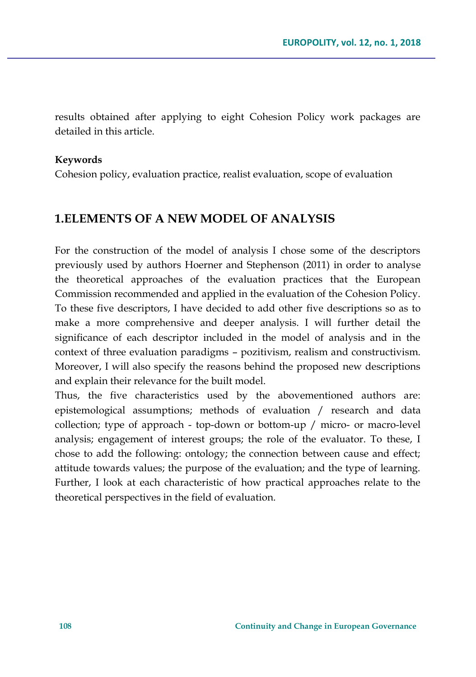results obtained after applying to eight Cohesion Policy work packages are detailed in this article.

#### **Keywords**

Cohesion policy, evaluation practice, realist evaluation, scope of evaluation

## **1.ELEMENTS OF A NEW MODEL OF ANALYSIS**

For the construction of the model of analysis I chose some of the descriptors previously used by authors Hoerner and Stephenson (2011) in order to analyse the theoretical approaches of the evaluation practices that the European Commission recommended and applied in the evaluation of the Cohesion Policy. To these five descriptors, I have decided to add other five descriptions so as to make a more comprehensive and deeper analysis. I will further detail the significance of each descriptor included in the model of analysis and in the context of three evaluation paradigms – pozitivism, realism and constructivism. Moreover, I will also specify the reasons behind the proposed new descriptions and explain their relevance for the built model.

Thus, the five characteristics used by the abovementioned authors are: epistemological assumptions; methods of evaluation / research and data collection; type of approach - top-down or bottom-up / micro- or macro-level analysis; engagement of interest groups; the role of the evaluator. To these, I chose to add the following: ontology; the connection between cause and effect; attitude towards values; the purpose of the evaluation; and the type of learning. Further, I look at each characteristic of how practical approaches relate to the theoretical perspectives in the field of evaluation.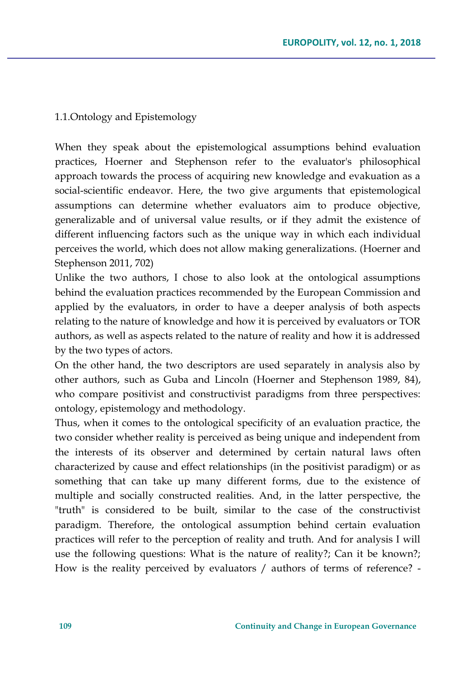1.1.Ontology and Epistemology

When they speak about the epistemological assumptions behind evaluation practices, Hoerner and Stephenson refer to the evaluator's philosophical approach towards the process of acquiring new knowledge and evakuation as a social-scientific endeavor. Here, the two give arguments that epistemological assumptions can determine whether evaluators aim to produce objective, generalizable and of universal value results, or if they admit the existence of different influencing factors such as the unique way in which each individual perceives the world, which does not allow making generalizations. (Hoerner and Stephenson 2011, 702)

Unlike the two authors, I chose to also look at the ontological assumptions behind the evaluation practices recommended by the European Commission and applied by the evaluators, in order to have a deeper analysis of both aspects relating to the nature of knowledge and how it is perceived by evaluators or TOR authors, as well as aspects related to the nature of reality and how it is addressed by the two types of actors.

On the other hand, the two descriptors are used separately in analysis also by other authors, such as Guba and Lincoln (Hoerner and Stephenson 1989, 84), who compare positivist and constructivist paradigms from three perspectives: ontology, epistemology and methodology.

Thus, when it comes to the ontological specificity of an evaluation practice, the two consider whether reality is perceived as being unique and independent from the interests of its observer and determined by certain natural laws often characterized by cause and effect relationships (in the positivist paradigm) or as something that can take up many different forms, due to the existence of multiple and socially constructed realities. And, in the latter perspective, the "truth" is considered to be built, similar to the case of the constructivist paradigm. Therefore, the ontological assumption behind certain evaluation practices will refer to the perception of reality and truth. And for analysis I will use the following questions: What is the nature of reality?; Can it be known?; How is the reality perceived by evaluators / authors of terms of reference? -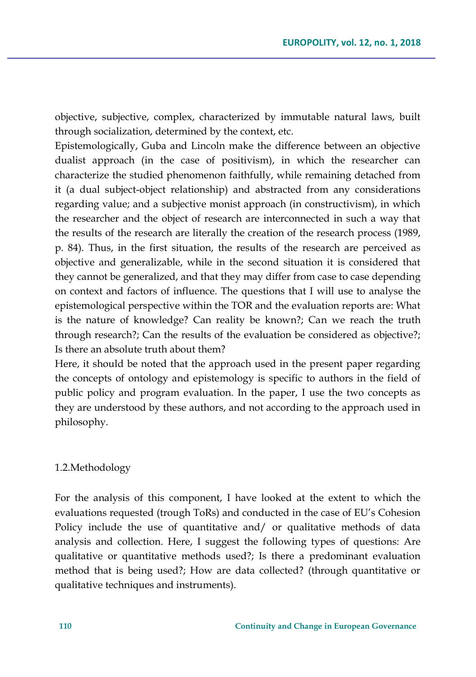objective, subjective, complex, characterized by immutable natural laws, built through socialization, determined by the context, etc.

Epistemologically, Guba and Lincoln make the difference between an objective dualist approach (in the case of positivism), in which the researcher can characterize the studied phenomenon faithfully, while remaining detached from it (a dual subject-object relationship) and abstracted from any considerations regarding value; and a subjective monist approach (in constructivism), in which the researcher and the object of research are interconnected in such a way that the results of the research are literally the creation of the research process (1989, p. 84). Thus, in the first situation, the results of the research are perceived as objective and generalizable, while in the second situation it is considered that they cannot be generalized, and that they may differ from case to case depending on context and factors of influence. The questions that I will use to analyse the epistemological perspective within the TOR and the evaluation reports are: What is the nature of knowledge? Can reality be known?; Can we reach the truth through research?; Can the results of the evaluation be considered as objective?; Is there an absolute truth about them?

Here, it should be noted that the approach used in the present paper regarding the concepts of ontology and epistemology is specific to authors in the field of public policy and program evaluation. In the paper, I use the two concepts as they are understood by these authors, and not according to the approach used in philosophy.

#### 1.2.Methodology

For the analysis of this component, I have looked at the extent to which the evaluations requested (trough ToRs) and conducted in the case of EU's Cohesion Policy include the use of quantitative and/ or qualitative methods of data analysis and collection. Here, I suggest the following types of questions: Are qualitative or quantitative methods used?; Is there a predominant evaluation method that is being used?; How are data collected? (through quantitative or qualitative techniques and instruments).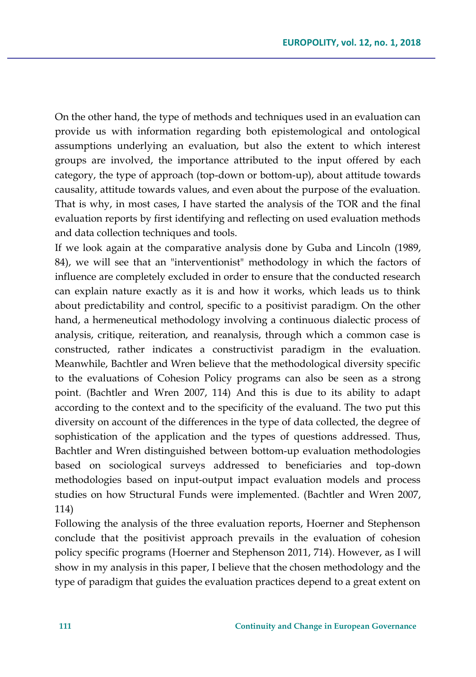On the other hand, the type of methods and techniques used in an evaluation can provide us with information regarding both epistemological and ontological assumptions underlying an evaluation, but also the extent to which interest groups are involved, the importance attributed to the input offered by each category, the type of approach (top-down or bottom-up), about attitude towards causality, attitude towards values, and even about the purpose of the evaluation. That is why, in most cases, I have started the analysis of the TOR and the final evaluation reports by first identifying and reflecting on used evaluation methods and data collection techniques and tools.

If we look again at the comparative analysis done by Guba and Lincoln (1989, 84), we will see that an "interventionist" methodology in which the factors of influence are completely excluded in order to ensure that the conducted research can explain nature exactly as it is and how it works, which leads us to think about predictability and control, specific to a positivist paradigm. On the other hand, a hermeneutical methodology involving a continuous dialectic process of analysis, critique, reiteration, and reanalysis, through which a common case is constructed, rather indicates a constructivist paradigm in the evaluation. Meanwhile, Bachtler and Wren believe that the methodological diversity specific to the evaluations of Cohesion Policy programs can also be seen as a strong point. (Bachtler and Wren 2007, 114) And this is due to its ability to adapt according to the context and to the specificity of the evaluand. The two put this diversity on account of the differences in the type of data collected, the degree of sophistication of the application and the types of questions addressed. Thus, Bachtler and Wren distinguished between bottom-up evaluation methodologies based on sociological surveys addressed to beneficiaries and top-down methodologies based on input-output impact evaluation models and process studies on how Structural Funds were implemented. (Bachtler and Wren 2007, 114)

Following the analysis of the three evaluation reports, Hoerner and Stephenson conclude that the positivist approach prevails in the evaluation of cohesion policy specific programs (Hoerner and Stephenson 2011, 714). However, as I will show in my analysis in this paper, I believe that the chosen methodology and the type of paradigm that guides the evaluation practices depend to a great extent on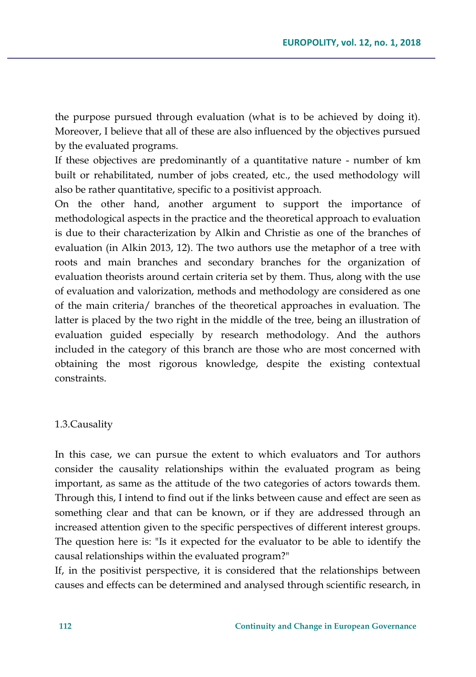the purpose pursued through evaluation (what is to be achieved by doing it). Moreover, I believe that all of these are also influenced by the objectives pursued by the evaluated programs.

If these objectives are predominantly of a quantitative nature - number of km built or rehabilitated, number of jobs created, etc., the used methodology will also be rather quantitative, specific to a positivist approach.

On the other hand, another argument to support the importance of methodological aspects in the practice and the theoretical approach to evaluation is due to their characterization by Alkin and Christie as one of the branches of evaluation (in Alkin 2013, 12). The two authors use the metaphor of a tree with roots and main branches and secondary branches for the organization of evaluation theorists around certain criteria set by them. Thus, along with the use of evaluation and valorization, methods and methodology are considered as one of the main criteria/ branches of the theoretical approaches in evaluation. The latter is placed by the two right in the middle of the tree, being an illustration of evaluation guided especially by research methodology. And the authors included in the category of this branch are those who are most concerned with obtaining the most rigorous knowledge, despite the existing contextual constraints.

#### 1.3.Causality

In this case, we can pursue the extent to which evaluators and Tor authors consider the causality relationships within the evaluated program as being important, as same as the attitude of the two categories of actors towards them. Through this, I intend to find out if the links between cause and effect are seen as something clear and that can be known, or if they are addressed through an increased attention given to the specific perspectives of different interest groups. The question here is: "Is it expected for the evaluator to be able to identify the causal relationships within the evaluated program?"

If, in the positivist perspective, it is considered that the relationships between causes and effects can be determined and analysed through scientific research, in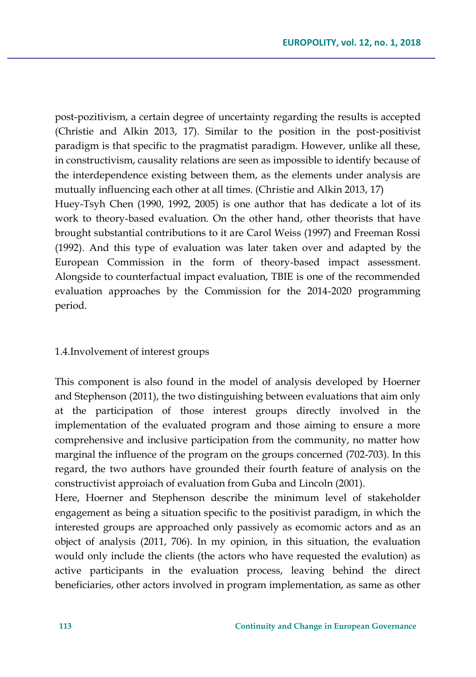post-pozitivism, a certain degree of uncertainty regarding the results is accepted (Christie and Alkin 2013, 17). Similar to the position in the post-positivist paradigm is that specific to the pragmatist paradigm. However, unlike all these, in constructivism, causality relations are seen as impossible to identify because of the interdependence existing between them, as the elements under analysis are mutually influencing each other at all times. (Christie and Alkin 2013, 17) Huey-Tsyh Chen (1990, 1992, 2005) is one author that has dedicate a lot of its work to theory-based evaluation. On the other hand, other theorists that have brought substantial contributions to it are Carol Weiss (1997) and Freeman Rossi (1992). And this type of evaluation was later taken over and adapted by the European Commission in the form of theory-based impact assessment. Alongside to counterfactual impact evaluation, TBIE is one of the recommended evaluation approaches by the Commission for the 2014-2020 programming period.

#### 1.4.Involvement of interest groups

This component is also found in the model of analysis developed by Hoerner and Stephenson (2011), the two distinguishing between evaluations that aim only at the participation of those interest groups directly involved in the implementation of the evaluated program and those aiming to ensure a more comprehensive and inclusive participation from the community, no matter how marginal the influence of the program on the groups concerned (702-703). In this regard, the two authors have grounded their fourth feature of analysis on the constructivist approiach of evaluation from Guba and Lincoln (2001).

Here, Hoerner and Stephenson describe the minimum level of stakeholder engagement as being a situation specific to the positivist paradigm, in which the interested groups are approached only passively as ecomomic actors and as an object of analysis (2011, 706). In my opinion, in this situation, the evaluation would only include the clients (the actors who have requested the evalution) as active participants in the evaluation process, leaving behind the direct beneficiaries, other actors involved in program implementation, as same as other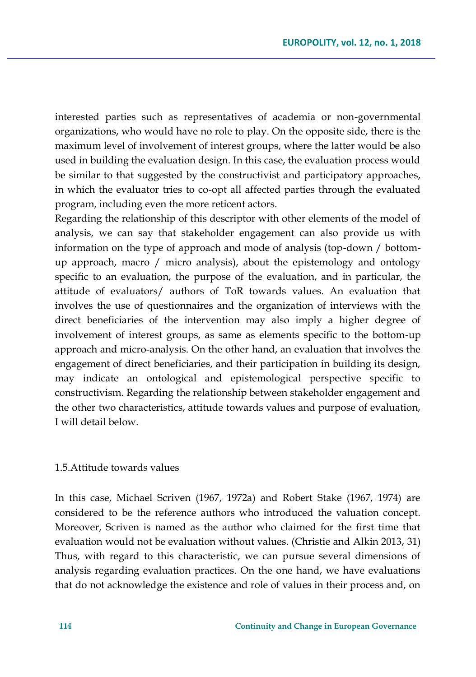interested parties such as representatives of academia or non-governmental organizations, who would have no role to play. On the opposite side, there is the maximum level of involvement of interest groups, where the latter would be also used in building the evaluation design. In this case, the evaluation process would be similar to that suggested by the constructivist and participatory approaches, in which the evaluator tries to co-opt all affected parties through the evaluated program, including even the more reticent actors.

Regarding the relationship of this descriptor with other elements of the model of analysis, we can say that stakeholder engagement can also provide us with information on the type of approach and mode of analysis (top-down / bottomup approach, macro / micro analysis), about the epistemology and ontology specific to an evaluation, the purpose of the evaluation, and in particular, the attitude of evaluators/ authors of ToR towards values. An evaluation that involves the use of questionnaires and the organization of interviews with the direct beneficiaries of the intervention may also imply a higher degree of involvement of interest groups, as same as elements specific to the bottom-up approach and micro-analysis. On the other hand, an evaluation that involves the engagement of direct beneficiaries, and their participation in building its design, may indicate an ontological and epistemological perspective specific to constructivism. Regarding the relationship between stakeholder engagement and the other two characteristics, attitude towards values and purpose of evaluation, I will detail below.

#### 1.5.Attitude towards values

In this case, Michael Scriven (1967, 1972a) and Robert Stake (1967, 1974) are considered to be the reference authors who introduced the valuation concept. Moreover, Scriven is named as the author who claimed for the first time that evaluation would not be evaluation without values. (Christie and Alkin 2013, 31) Thus, with regard to this characteristic, we can pursue several dimensions of analysis regarding evaluation practices. On the one hand, we have evaluations that do not acknowledge the existence and role of values in their process and, on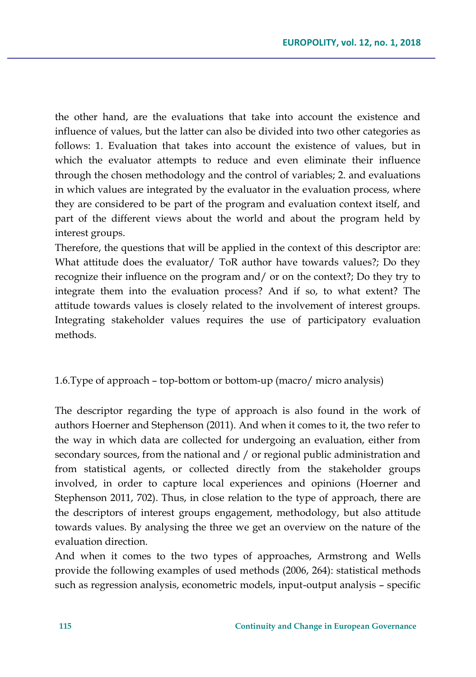the other hand, are the evaluations that take into account the existence and influence of values, but the latter can also be divided into two other categories as follows: 1. Evaluation that takes into account the existence of values, but in which the evaluator attempts to reduce and even eliminate their influence through the chosen methodology and the control of variables; 2. and evaluations in which values are integrated by the evaluator in the evaluation process, where they are considered to be part of the program and evaluation context itself, and part of the different views about the world and about the program held by interest groups.

Therefore, the questions that will be applied in the context of this descriptor are: What attitude does the evaluator/ ToR author have towards values?; Do they recognize their influence on the program and/ or on the context?; Do they try to integrate them into the evaluation process? And if so, to what extent? The attitude towards values is closely related to the involvement of interest groups. Integrating stakeholder values requires the use of participatory evaluation methods.

### 1.6.Type of approach – top-bottom or bottom-up (macro/ micro analysis)

The descriptor regarding the type of approach is also found in the work of authors Hoerner and Stephenson (2011). And when it comes to it, the two refer to the way in which data are collected for undergoing an evaluation, either from secondary sources, from the national and / or regional public administration and from statistical agents, or collected directly from the stakeholder groups involved, in order to capture local experiences and opinions (Hoerner and Stephenson 2011, 702). Thus, in close relation to the type of approach, there are the descriptors of interest groups engagement, methodology, but also attitude towards values. By analysing the three we get an overview on the nature of the evaluation direction.

And when it comes to the two types of approaches, Armstrong and Wells provide the following examples of used methods (2006, 264): statistical methods such as regression analysis, econometric models, input-output analysis – specific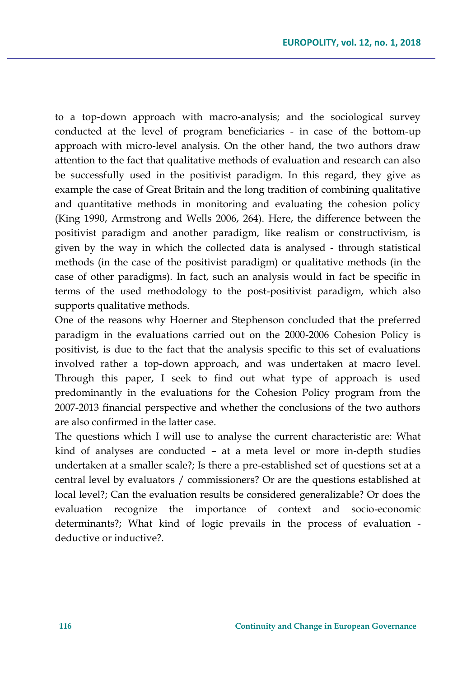to a top-down approach with macro-analysis; and the sociological survey conducted at the level of program beneficiaries - in case of the bottom-up approach with micro-level analysis. On the other hand, the two authors draw attention to the fact that qualitative methods of evaluation and research can also be successfully used in the positivist paradigm. In this regard, they give as example the case of Great Britain and the long tradition of combining qualitative and quantitative methods in monitoring and evaluating the cohesion policy (King 1990, Armstrong and Wells 2006, 264). Here, the difference between the positivist paradigm and another paradigm, like realism or constructivism, is given by the way in which the collected data is analysed - through statistical methods (in the case of the positivist paradigm) or qualitative methods (in the case of other paradigms). In fact, such an analysis would in fact be specific in terms of the used methodology to the post-positivist paradigm, which also supports qualitative methods.

One of the reasons why Hoerner and Stephenson concluded that the preferred paradigm in the evaluations carried out on the 2000-2006 Cohesion Policy is positivist, is due to the fact that the analysis specific to this set of evaluations involved rather a top-down approach, and was undertaken at macro level. Through this paper, I seek to find out what type of approach is used predominantly in the evaluations for the Cohesion Policy program from the 2007-2013 financial perspective and whether the conclusions of the two authors are also confirmed in the latter case.

The questions which I will use to analyse the current characteristic are: What kind of analyses are conducted – at a meta level or more in-depth studies undertaken at a smaller scale?; Is there a pre-established set of questions set at a central level by evaluators / commissioners? Or are the questions established at local level?; Can the evaluation results be considered generalizable? Or does the evaluation recognize the importance of context and socio-economic determinants?; What kind of logic prevails in the process of evaluation deductive or inductive?.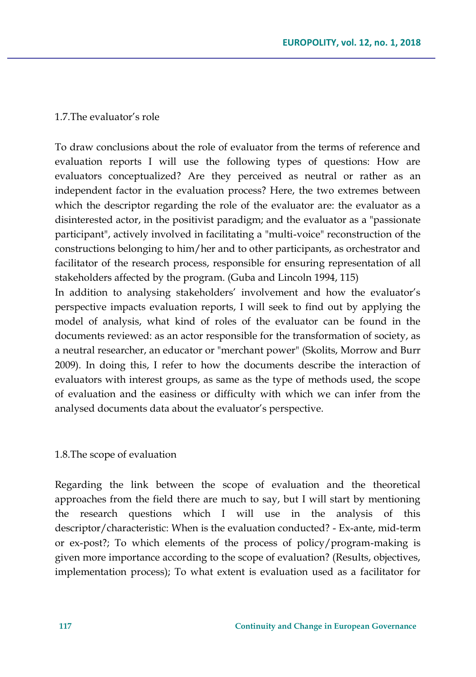#### 1.7.The evaluator's role

To draw conclusions about the role of evaluator from the terms of reference and evaluation reports I will use the following types of questions: How are evaluators conceptualized? Are they perceived as neutral or rather as an independent factor in the evaluation process? Here, the two extremes between which the descriptor regarding the role of the evaluator are: the evaluator as a disinterested actor, in the positivist paradigm; and the evaluator as a "passionate participant", actively involved in facilitating a "multi-voice" reconstruction of the constructions belonging to him/her and to other participants, as orchestrator and facilitator of the research process, responsible for ensuring representation of all stakeholders affected by the program. (Guba and Lincoln 1994, 115)

In addition to analysing stakeholders' involvement and how the evaluator's perspective impacts evaluation reports, I will seek to find out by applying the model of analysis, what kind of roles of the evaluator can be found in the documents reviewed: as an actor responsible for the transformation of society, as a neutral researcher, an educator or "merchant power" (Skolits, Morrow and Burr 2009). In doing this, I refer to how the documents describe the interaction of evaluators with interest groups, as same as the type of methods used, the scope of evaluation and the easiness or difficulty with which we can infer from the analysed documents data about the evaluator's perspective.

#### 1.8.The scope of evaluation

Regarding the link between the scope of evaluation and the theoretical approaches from the field there are much to say, but I will start by mentioning the research questions which I will use in the analysis of this descriptor/characteristic: When is the evaluation conducted? - Ex-ante, mid-term or ex-post?; To which elements of the process of policy/program-making is given more importance according to the scope of evaluation? (Results, objectives, implementation process); To what extent is evaluation used as a facilitator for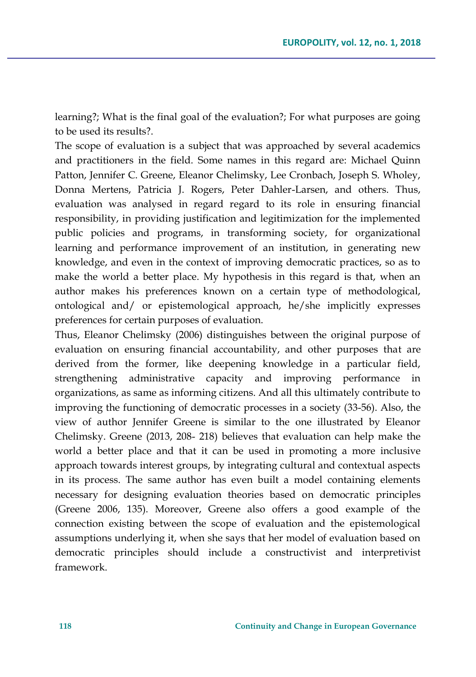learning?; What is the final goal of the evaluation?; For what purposes are going to be used its results?.

The scope of evaluation is a subject that was approached by several academics and practitioners in the field. Some names in this regard are: Michael Quinn Patton, Jennifer C. Greene, Eleanor Chelimsky, Lee Cronbach, Joseph S. Wholey, Donna Mertens, Patricia J. Rogers, Peter Dahler-Larsen, and others. Thus, evaluation was analysed in regard regard to its role in ensuring financial responsibility, in providing justification and legitimization for the implemented public policies and programs, in transforming society, for organizational learning and performance improvement of an institution, in generating new knowledge, and even in the context of improving democratic practices, so as to make the world a better place. My hypothesis in this regard is that, when an author makes his preferences known on a certain type of methodological, ontological and/ or epistemological approach, he/she implicitly expresses preferences for certain purposes of evaluation.

Thus, Eleanor Chelimsky (2006) distinguishes between the original purpose of evaluation on ensuring financial accountability, and other purposes that are derived from the former, like deepening knowledge in a particular field, strengthening administrative capacity and improving performance in organizations, as same as informing citizens. And all this ultimately contribute to improving the functioning of democratic processes in a society (33-56). Also, the view of author Jennifer Greene is similar to the one illustrated by Eleanor Chelimsky. Greene (2013, 208- 218) believes that evaluation can help make the world a better place and that it can be used in promoting a more inclusive approach towards interest groups, by integrating cultural and contextual aspects in its process. The same author has even built a model containing elements necessary for designing evaluation theories based on democratic principles (Greene 2006, 135). Moreover, Greene also offers a good example of the connection existing between the scope of evaluation and the epistemological assumptions underlying it, when she says that her model of evaluation based on democratic principles should include a constructivist and interpretivist framework.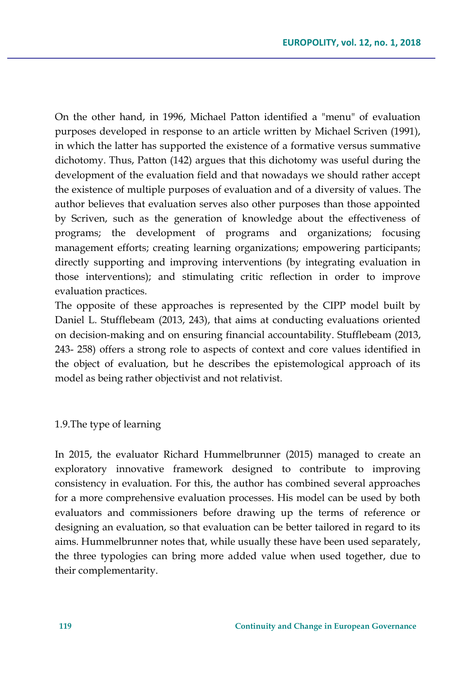On the other hand, in 1996, Michael Patton identified a "menu" of evaluation purposes developed in response to an article written by Michael Scriven (1991), in which the latter has supported the existence of a formative versus summative dichotomy. Thus, Patton (142) argues that this dichotomy was useful during the development of the evaluation field and that nowadays we should rather accept the existence of multiple purposes of evaluation and of a diversity of values. The author believes that evaluation serves also other purposes than those appointed by Scriven, such as the generation of knowledge about the effectiveness of programs; the development of programs and organizations; focusing management efforts; creating learning organizations; empowering participants; directly supporting and improving interventions (by integrating evaluation in those interventions); and stimulating critic reflection in order to improve evaluation practices.

The opposite of these approaches is represented by the CIPP model built by Daniel L. Stufflebeam (2013, 243), that aims at conducting evaluations oriented on decision-making and on ensuring financial accountability. Stufflebeam (2013, 243- 258) offers a strong role to aspects of context and core values identified in the object of evaluation, but he describes the epistemological approach of its model as being rather objectivist and not relativist.

1.9.The type of learning

In 2015, the evaluator Richard Hummelbrunner (2015) managed to create an exploratory innovative framework designed to contribute to improving consistency in evaluation. For this, the author has combined several approaches for a more comprehensive evaluation processes. His model can be used by both evaluators and commissioners before drawing up the terms of reference or designing an evaluation, so that evaluation can be better tailored in regard to its aims. Hummelbrunner notes that, while usually these have been used separately, the three typologies can bring more added value when used together, due to their complementarity.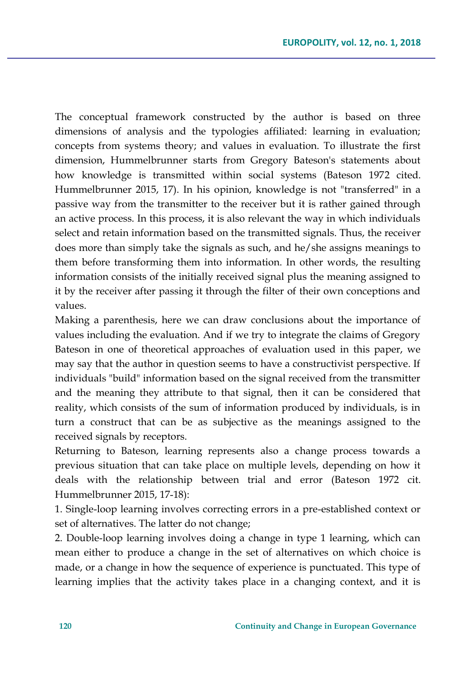The conceptual framework constructed by the author is based on three dimensions of analysis and the typologies affiliated: learning in evaluation; concepts from systems theory; and values in evaluation. To illustrate the first dimension, Hummelbrunner starts from Gregory Bateson's statements about how knowledge is transmitted within social systems (Bateson 1972 cited. Hummelbrunner 2015, 17). In his opinion, knowledge is not "transferred" in a passive way from the transmitter to the receiver but it is rather gained through an active process. In this process, it is also relevant the way in which individuals select and retain information based on the transmitted signals. Thus, the receiver does more than simply take the signals as such, and he/she assigns meanings to them before transforming them into information. In other words, the resulting information consists of the initially received signal plus the meaning assigned to it by the receiver after passing it through the filter of their own conceptions and values.

Making a parenthesis, here we can draw conclusions about the importance of values including the evaluation. And if we try to integrate the claims of Gregory Bateson in one of theoretical approaches of evaluation used in this paper, we may say that the author in question seems to have a constructivist perspective. If individuals "build" information based on the signal received from the transmitter and the meaning they attribute to that signal, then it can be considered that reality, which consists of the sum of information produced by individuals, is in turn a construct that can be as subjective as the meanings assigned to the received signals by receptors.

Returning to Bateson, learning represents also a change process towards a previous situation that can take place on multiple levels, depending on how it deals with the relationship between trial and error (Bateson 1972 cit. Hummelbrunner 2015, 17-18):

1. Single-loop learning involves correcting errors in a pre-established context or set of alternatives. The latter do not change;

2. Double-loop learning involves doing a change in type 1 learning, which can mean either to produce a change in the set of alternatives on which choice is made, or a change in how the sequence of experience is punctuated. This type of learning implies that the activity takes place in a changing context, and it is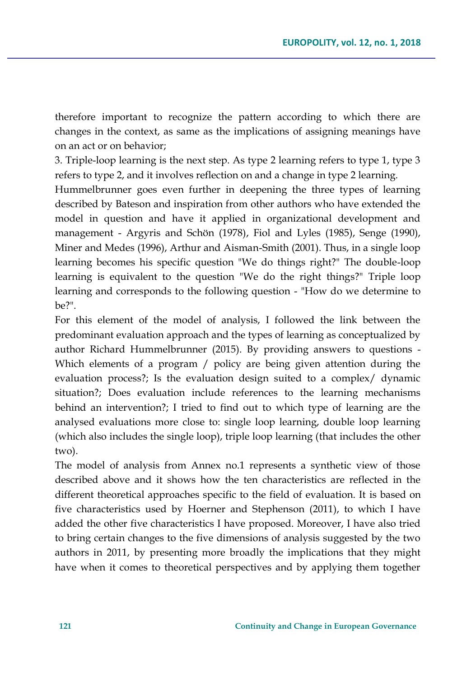therefore important to recognize the pattern according to which there are changes in the context, as same as the implications of assigning meanings have on an act or on behavior;

3. Triple-loop learning is the next step. As type 2 learning refers to type 1, type 3 refers to type 2, and it involves reflection on and a change in type 2 learning.

Hummelbrunner goes even further in deepening the three types of learning described by Bateson and inspiration from other authors who have extended the model in question and have it applied in organizational development and management - Argyris and Schön (1978), Fiol and Lyles (1985), Senge (1990), Miner and Medes (1996), Arthur and Aisman-Smith (2001). Thus, in a single loop learning becomes his specific question "We do things right?" The double-loop learning is equivalent to the question "We do the right things?" Triple loop learning and corresponds to the following question - "How do we determine to be?".

For this element of the model of analysis, I followed the link between the predominant evaluation approach and the types of learning as conceptualized by author Richard Hummelbrunner (2015). By providing answers to questions - Which elements of a program / policy are being given attention during the evaluation process?; Is the evaluation design suited to a complex/ dynamic situation?; Does evaluation include references to the learning mechanisms behind an intervention?; I tried to find out to which type of learning are the analysed evaluations more close to: single loop learning, double loop learning (which also includes the single loop), triple loop learning (that includes the other two).

The model of analysis from Annex no.1 represents a synthetic view of those described above and it shows how the ten characteristics are reflected in the different theoretical approaches specific to the field of evaluation. It is based on five characteristics used by Hoerner and Stephenson (2011), to which I have added the other five characteristics I have proposed. Moreover, I have also tried to bring certain changes to the five dimensions of analysis suggested by the two authors in 2011, by presenting more broadly the implications that they might have when it comes to theoretical perspectives and by applying them together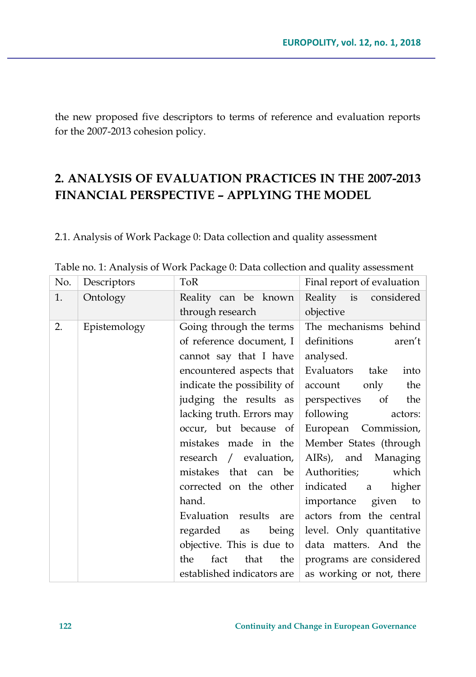the new proposed five descriptors to terms of reference and evaluation reports for the 2007-2013 cohesion policy.

## **2. ANALYSIS OF EVALUATION PRACTICES IN THE 2007-2013 FINANCIAL PERSPECTIVE – APPLYING THE MODEL**

2.1. Analysis of Work Package 0: Data collection and quality assessment

| No. | Descriptors  | ToR                            | Final report of evaluation |
|-----|--------------|--------------------------------|----------------------------|
| 1.  | Ontology     | Reality can be known           | Reality is considered      |
|     |              | through research               | objective                  |
| 2.  | Epistemology | Going through the terms        | The mechanisms behind      |
|     |              | of reference document, I       | definitions<br>aren't      |
|     |              | cannot say that I have         | analysed.                  |
|     |              | encountered aspects that       | Evaluators take<br>into    |
|     |              | indicate the possibility of    | account only the           |
|     |              | judging the results as         | perspectives of the        |
|     |              | lacking truth. Errors may      | following<br>actors:       |
|     |              | occur, but because of          | European Commission,       |
|     |              | mistakes made in the           | Member States (through     |
|     |              | research / evaluation, $\vert$ | AIRs), and Managing        |
|     |              | mistakes that can be           | which<br>Authorities;      |
|     |              | corrected on the other         | indicated a<br>higher      |
|     |              | hand.                          | importance given to        |
|     |              | Evaluation results are         | actors from the central    |
|     |              | regarded as<br>being           | level. Only quantitative   |
|     |              | objective. This is due to $ $  | data matters. And the      |
|     |              | the $ $<br>the<br>fact<br>that | programs are considered    |
|     |              | established indicators are     | as working or not, there   |

Table no. 1: Analysis of Work Package 0: Data collection and quality assessment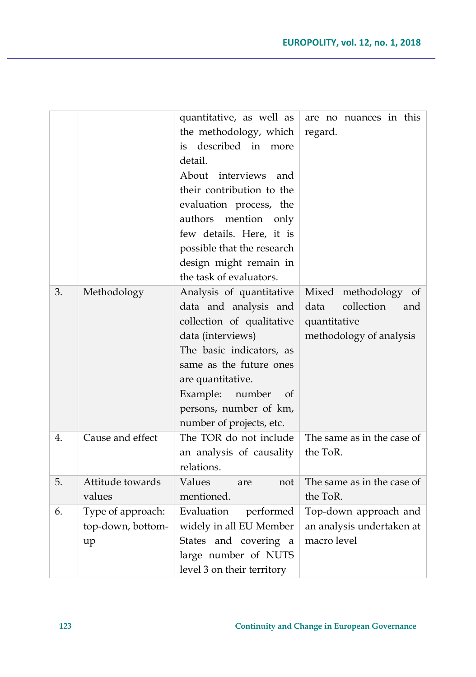|    |                                              | quantitative, as well as<br>the methodology, which<br>described in<br>is<br>more<br>detail.<br>About<br>interviews<br>and<br>their contribution to the<br>evaluation process, the<br>mention<br>authors<br>only<br>few details. Here, it is<br>possible that the research<br>design might remain in<br>the task of evaluators. | are no nuances in this<br>regard.                                                               |
|----|----------------------------------------------|--------------------------------------------------------------------------------------------------------------------------------------------------------------------------------------------------------------------------------------------------------------------------------------------------------------------------------|-------------------------------------------------------------------------------------------------|
| 3. | Methodology                                  | Analysis of quantitative<br>data and analysis and<br>collection of qualitative<br>data (interviews)<br>The basic indicators, as<br>same as the future ones<br>are quantitative.<br>Example:<br>number<br>of<br>persons, number of km,<br>number of projects, etc.                                                              | Mixed methodology<br>of<br>collection<br>data<br>and<br>quantitative<br>methodology of analysis |
| 4. | Cause and effect                             | The TOR do not include<br>an analysis of causality<br>relations.                                                                                                                                                                                                                                                               | The same as in the case of<br>the ToR.                                                          |
| 5. | Attitude towards<br>values                   | Values<br>are<br>not<br>mentioned.                                                                                                                                                                                                                                                                                             | The same as in the case of<br>the ToR.                                                          |
| 6. | Type of approach:<br>top-down, bottom-<br>up | Evaluation<br>performed<br>widely in all EU Member<br>States and covering<br>a<br>large number of NUTS<br>level 3 on their territory                                                                                                                                                                                           | Top-down approach and<br>an analysis undertaken at<br>macro level                               |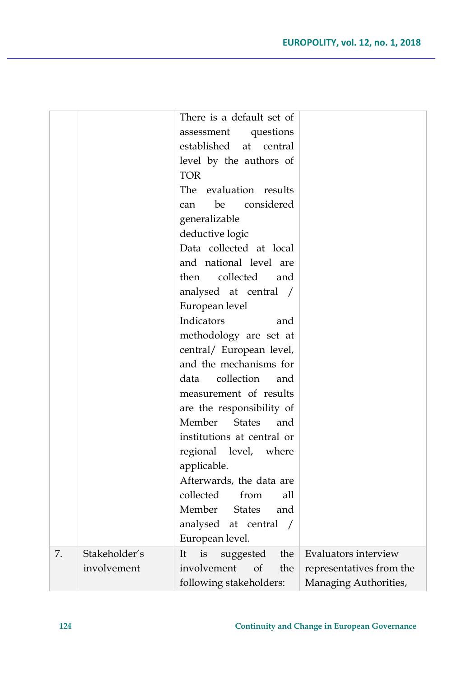|    |               | There is a default set of              |                          |
|----|---------------|----------------------------------------|--------------------------|
|    |               | questions<br>assessment                |                          |
|    |               | established<br>at<br>central           |                          |
|    |               | level by the authors of                |                          |
|    |               | <b>TOR</b>                             |                          |
|    |               | The<br>evaluation results              |                          |
|    |               | considered<br>be<br>can                |                          |
|    |               | generalizable                          |                          |
|    |               | deductive logic                        |                          |
|    |               | Data collected at local                |                          |
|    |               | and national level are                 |                          |
|    |               | collected<br>then<br>and               |                          |
|    |               | analysed at central /                  |                          |
|    |               | European level                         |                          |
|    |               | Indicators<br>and                      |                          |
|    |               | methodology are set at                 |                          |
|    |               | central/ European level,               |                          |
|    |               | and the mechanisms for                 |                          |
|    |               | collection<br>data<br>and              |                          |
|    |               | measurement of results                 |                          |
|    |               | are the responsibility of              |                          |
|    |               | Member<br><b>States</b><br>and         |                          |
|    |               | institutions at central or             |                          |
|    |               | regional<br>level, where               |                          |
|    |               | applicable.                            |                          |
|    |               | Afterwards, the data are               |                          |
|    |               | collected<br>from<br>all               |                          |
|    |               | Member States<br>and                   |                          |
|    |               | analysed at central /                  |                          |
|    |               | European level.                        |                          |
| 7. | Stakeholder's | is<br>the<br>suggested<br><sup>1</sup> | Evaluators interview     |
|    | involvement   | involvement<br>of<br>the               | representatives from the |
|    |               | following stakeholders:                | Managing Authorities,    |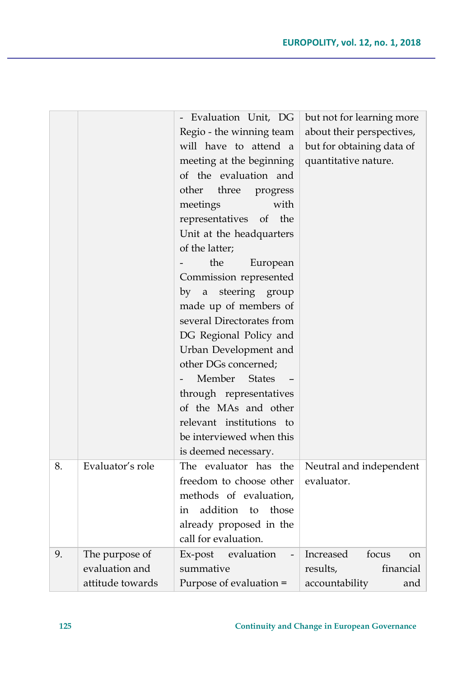|    |                  | - Evaluation Unit, DG         | but not for learning more |
|----|------------------|-------------------------------|---------------------------|
|    |                  | Regio - the winning team      | about their perspectives, |
|    |                  | will have to attend a         | but for obtaining data of |
|    |                  | meeting at the beginning      | quantitative nature.      |
|    |                  | of the evaluation and         |                           |
|    |                  | other<br>three<br>progress    |                           |
|    |                  | with<br>meetings              |                           |
|    |                  | representatives of the        |                           |
|    |                  | Unit at the headquarters      |                           |
|    |                  | of the latter;                |                           |
|    |                  | the<br>European               |                           |
|    |                  | Commission represented        |                           |
|    |                  | steering group<br>by<br>a     |                           |
|    |                  | made up of members of         |                           |
|    |                  | several Directorates from     |                           |
|    |                  | DG Regional Policy and        |                           |
|    |                  | Urban Development and         |                           |
|    |                  | other DGs concerned;          |                           |
|    |                  | Member<br><b>States</b>       |                           |
|    |                  | through representatives       |                           |
|    |                  | of the MAs and other          |                           |
|    |                  | relevant institutions to      |                           |
|    |                  | be interviewed when this      |                           |
|    |                  | is deemed necessary.          |                           |
| 8. | Evaluator's role | The evaluator has the         | Neutral and independent   |
|    |                  | freedom to choose other       | evaluator.                |
|    |                  | methods of evaluation,        |                           |
|    |                  | addition<br>those<br>to<br>in |                           |
|    |                  | already proposed in the       |                           |
|    |                  | call for evaluation.          |                           |
| 9. | The purpose of   | evaluation<br>Ex-post         | Increased<br>focus<br>on  |
|    | evaluation and   | summative                     | results,<br>financial     |
|    | attitude towards | Purpose of evaluation =       | accountability<br>and     |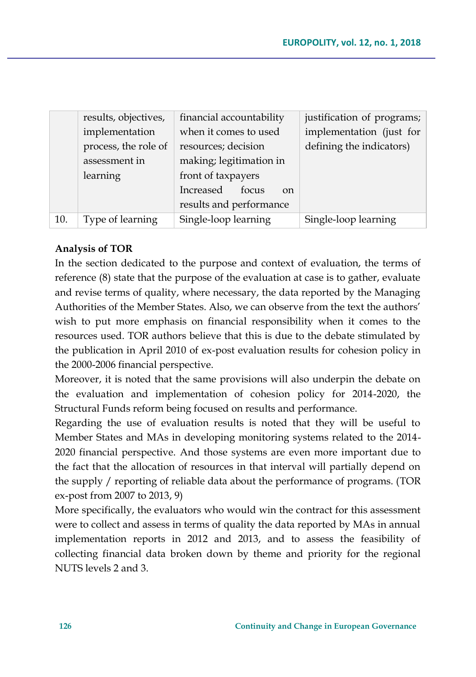|     | results, objectives, | financial accountability       | justification of programs; |
|-----|----------------------|--------------------------------|----------------------------|
|     | implementation       | when it comes to used          | implementation (just for   |
|     | process, the role of | resources; decision            | defining the indicators)   |
|     | assessment in        | making; legitimation in        |                            |
|     | learning             | front of taxpayers             |                            |
|     |                      | Increased<br>focus<br>$\alpha$ |                            |
|     |                      | results and performance        |                            |
| 10. | Type of learning     | Single-loop learning           | Single-loop learning       |

### **Analysis of TOR**

In the section dedicated to the purpose and context of evaluation, the terms of reference (8) state that the purpose of the evaluation at case is to gather, evaluate and revise terms of quality, where necessary, the data reported by the Managing Authorities of the Member States. Also, we can observe from the text the authors' wish to put more emphasis on financial responsibility when it comes to the resources used. TOR authors believe that this is due to the debate stimulated by the publication in April 2010 of ex-post evaluation results for cohesion policy in the 2000-2006 financial perspective.

Moreover, it is noted that the same provisions will also underpin the debate on the evaluation and implementation of cohesion policy for 2014-2020, the Structural Funds reform being focused on results and performance.

Regarding the use of evaluation results is noted that they will be useful to Member States and MAs in developing monitoring systems related to the 2014- 2020 financial perspective. And those systems are even more important due to the fact that the allocation of resources in that interval will partially depend on the supply / reporting of reliable data about the performance of programs. (TOR ex-post from 2007 to 2013, 9)

More specifically, the evaluators who would win the contract for this assessment were to collect and assess in terms of quality the data reported by MAs in annual implementation reports in 2012 and 2013, and to assess the feasibility of collecting financial data broken down by theme and priority for the regional NUTS levels 2 and 3.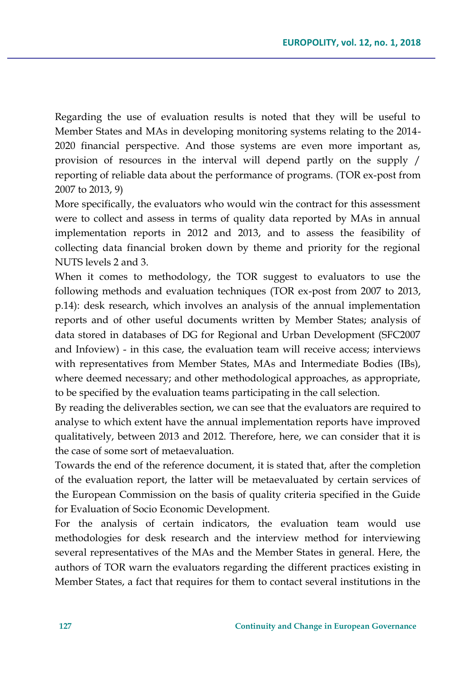Regarding the use of evaluation results is noted that they will be useful to Member States and MAs in developing monitoring systems relating to the 2014- 2020 financial perspective. And those systems are even more important as, provision of resources in the interval will depend partly on the supply / reporting of reliable data about the performance of programs. (TOR ex-post from 2007 to 2013, 9)

More specifically, the evaluators who would win the contract for this assessment were to collect and assess in terms of quality data reported by MAs in annual implementation reports in 2012 and 2013, and to assess the feasibility of collecting data financial broken down by theme and priority for the regional NUTS levels 2 and 3.

When it comes to methodology, the TOR suggest to evaluators to use the following methods and evaluation techniques (TOR ex-post from 2007 to 2013, p.14): desk research, which involves an analysis of the annual implementation reports and of other useful documents written by Member States; analysis of data stored in databases of DG for Regional and Urban Development (SFC2007 and Infoview) - in this case, the evaluation team will receive access; interviews with representatives from Member States, MAs and Intermediate Bodies (IBs), where deemed necessary; and other methodological approaches, as appropriate, to be specified by the evaluation teams participating in the call selection.

By reading the deliverables section, we can see that the evaluators are required to analyse to which extent have the annual implementation reports have improved qualitatively, between 2013 and 2012. Therefore, here, we can consider that it is the case of some sort of metaevaluation.

Towards the end of the reference document, it is stated that, after the completion of the evaluation report, the latter will be metaevaluated by certain services of the European Commission on the basis of quality criteria specified in the Guide for Evaluation of Socio Economic Development.

For the analysis of certain indicators, the evaluation team would use methodologies for desk research and the interview method for interviewing several representatives of the MAs and the Member States in general. Here, the authors of TOR warn the evaluators regarding the different practices existing in Member States, a fact that requires for them to contact several institutions in the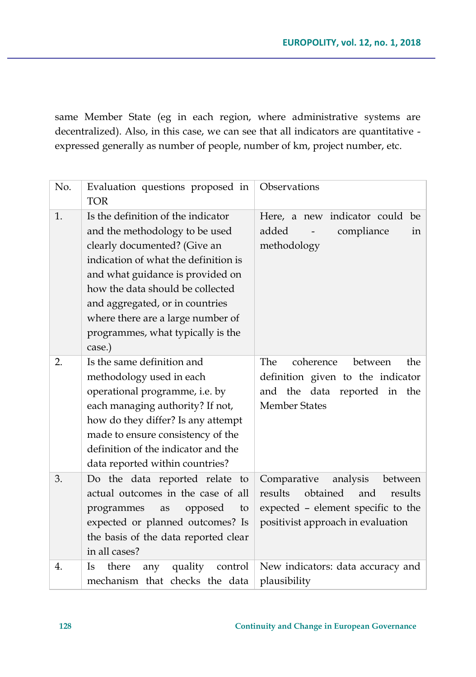same Member State (eg in each region, where administrative systems are decentralized). Also, in this case, we can see that all indicators are quantitative expressed generally as number of people, number of km, project number, etc.

| No. | Evaluation questions proposed in<br><b>TOR</b>                                                                                                                                                                                                                                                                                              | Observations                                                                                                                                           |
|-----|---------------------------------------------------------------------------------------------------------------------------------------------------------------------------------------------------------------------------------------------------------------------------------------------------------------------------------------------|--------------------------------------------------------------------------------------------------------------------------------------------------------|
| 1.  | Is the definition of the indicator<br>and the methodology to be used<br>clearly documented? (Give an<br>indication of what the definition is<br>and what guidance is provided on<br>how the data should be collected<br>and aggregated, or in countries<br>where there are a large number of<br>programmes, what typically is the<br>case.) | Here, a new indicator could<br>be<br>added<br>compliance<br>in<br>methodology                                                                          |
| 2.  | Is the same definition and<br>methodology used in each<br>operational programme, i.e. by<br>each managing authority? If not,<br>how do they differ? Is any attempt<br>made to ensure consistency of the<br>definition of the indicator and the<br>data reported within countries?                                                           | The<br>coherence<br>between<br>the<br>definition given to the indicator<br>and the data reported in the<br><b>Member States</b>                        |
| 3.  | Do the data reported relate to<br>actual outcomes in the case of all<br>programmes<br>opposed<br>to<br>as<br>expected or planned outcomes? Is<br>the basis of the data reported clear<br>in all cases?                                                                                                                                      | Comparative<br>analysis<br>between<br>results<br>obtained<br>and<br>results<br>expected - element specific to the<br>positivist approach in evaluation |
| 4.  | there<br>quality<br>control<br>Is<br>any<br>mechanism that checks the data                                                                                                                                                                                                                                                                  | New indicators: data accuracy and<br>plausibility                                                                                                      |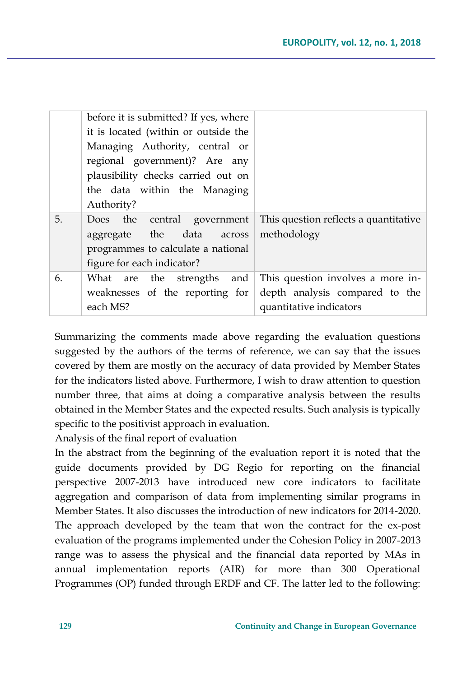|    | before it is submitted? If yes, where<br>it is located (within or outside the<br>Managing Authority, central or<br>regional government)? Are any<br>plausibility checks carried out on<br>the data within the Managing<br>Authority? |                                                                                                |
|----|--------------------------------------------------------------------------------------------------------------------------------------------------------------------------------------------------------------------------------------|------------------------------------------------------------------------------------------------|
| 5. | Does the central government<br>aggregate the data across<br>programmes to calculate a national<br>figure for each indicator?                                                                                                         | This question reflects a quantitative<br>methodology                                           |
| 6. | What are the strengths<br>and<br>weaknesses of the reporting for<br>each MS?                                                                                                                                                         | This question involves a more in-<br>depth analysis compared to the<br>quantitative indicators |

Summarizing the comments made above regarding the evaluation questions suggested by the authors of the terms of reference, we can say that the issues covered by them are mostly on the accuracy of data provided by Member States for the indicators listed above. Furthermore, I wish to draw attention to question number three, that aims at doing a comparative analysis between the results obtained in the Member States and the expected results. Such analysis is typically specific to the positivist approach in evaluation.

Analysis of the final report of evaluation

In the abstract from the beginning of the evaluation report it is noted that the guide documents provided by DG Regio for reporting on the financial perspective 2007-2013 have introduced new core indicators to facilitate aggregation and comparison of data from implementing similar programs in Member States. It also discusses the introduction of new indicators for 2014-2020. The approach developed by the team that won the contract for the ex-post evaluation of the programs implemented under the Cohesion Policy in 2007-2013 range was to assess the physical and the financial data reported by MAs in annual implementation reports (AIR) for more than 300 Operational Programmes (OP) funded through ERDF and CF. The latter led to the following: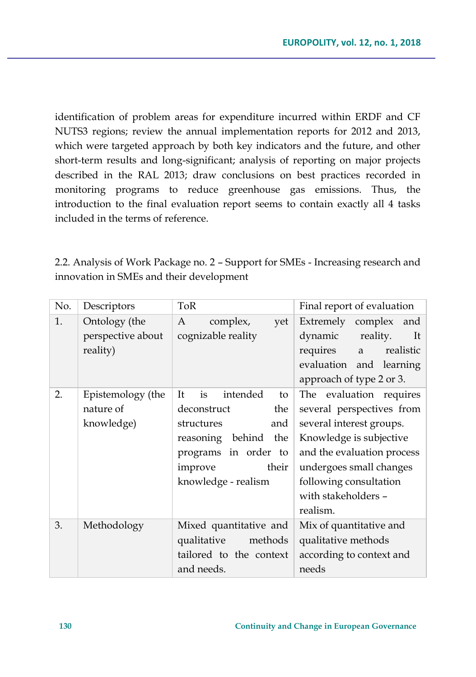identification of problem areas for expenditure incurred within ERDF and CF NUTS3 regions; review the annual implementation reports for 2012 and 2013, which were targeted approach by both key indicators and the future, and other short-term results and long-significant; analysis of reporting on major projects described in the RAL 2013; draw conclusions on best practices recorded in monitoring programs to reduce greenhouse gas emissions. Thus, the introduction to the final evaluation report seems to contain exactly all 4 tasks included in the terms of reference.

2.2. Analysis of Work Package no. 2 – Support for SMEs - Increasing research and innovation in SMEs and their development

| No. | Descriptors                                    | ToR                                                                                                                                                                 | Final report of evaluation                                                                                                                                                                                                        |
|-----|------------------------------------------------|---------------------------------------------------------------------------------------------------------------------------------------------------------------------|-----------------------------------------------------------------------------------------------------------------------------------------------------------------------------------------------------------------------------------|
| 1.  | Ontology (the<br>perspective about<br>reality) | A<br>complex,<br>yet<br>cognizable reality                                                                                                                          | Extremely complex<br>and<br>dynamic<br>reality.<br>It<br>requires<br>realistic<br>a a<br>evaluation and learning<br>approach of type 2 or 3.                                                                                      |
| 2.  | Epistemology (the<br>nature of<br>knowledge)   | intended<br>It<br>is<br>to<br>deconstruct<br>the<br>and<br>structures<br>reasoning behind<br>the<br>programs in order to<br>their<br>improve<br>knowledge - realism | The evaluation requires<br>several perspectives from<br>several interest groups.<br>Knowledge is subjective<br>and the evaluation process<br>undergoes small changes<br>following consultation<br>with stakeholders -<br>realism. |
| 3.  | Methodology                                    | Mixed quantitative and<br>qualitative<br>methods<br>tailored to the context<br>and needs.                                                                           | Mix of quantitative and<br>qualitative methods<br>according to context and<br>needs                                                                                                                                               |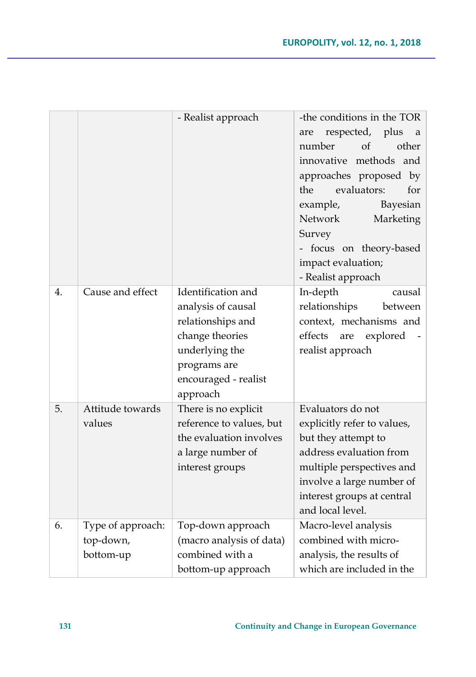|    |                   | - Realist approach                               | -the conditions in the TOR<br>respected, plus<br>are<br>a<br>number<br>$\alpha$<br>other<br>innovative methods and<br>approaches proposed by<br>the<br>evaluators:<br>for<br>example,<br>Bayesian |
|----|-------------------|--------------------------------------------------|---------------------------------------------------------------------------------------------------------------------------------------------------------------------------------------------------|
|    |                   |                                                  | Network<br>Marketing<br>Survey                                                                                                                                                                    |
|    |                   |                                                  | - focus on theory-based                                                                                                                                                                           |
|    |                   |                                                  | impact evaluation;                                                                                                                                                                                |
|    |                   |                                                  | - Realist approach                                                                                                                                                                                |
| 4. | Cause and effect  | Identification and                               | In-depth<br>causal                                                                                                                                                                                |
|    |                   | analysis of causal                               | relationships<br>between                                                                                                                                                                          |
|    |                   | relationships and                                | context, mechanisms and                                                                                                                                                                           |
|    |                   | change theories                                  | effects<br>explored<br>are                                                                                                                                                                        |
|    |                   | underlying the                                   | realist approach                                                                                                                                                                                  |
|    |                   | programs are                                     |                                                                                                                                                                                                   |
|    |                   | encouraged - realist                             |                                                                                                                                                                                                   |
| 5. | Attitude towards  | approach                                         | Evaluators do not                                                                                                                                                                                 |
|    | values            | There is no explicit<br>reference to values, but | explicitly refer to values,                                                                                                                                                                       |
|    |                   | the evaluation involves                          | but they attempt to                                                                                                                                                                               |
|    |                   | a large number of                                | address evaluation from                                                                                                                                                                           |
|    |                   | interest groups                                  | multiple perspectives and                                                                                                                                                                         |
|    |                   |                                                  | involve a large number of                                                                                                                                                                         |
|    |                   |                                                  | interest groups at central                                                                                                                                                                        |
|    |                   |                                                  | and local level.                                                                                                                                                                                  |
| 6. | Type of approach: | Top-down approach                                | Macro-level analysis                                                                                                                                                                              |
|    | top-down,         | (macro analysis of data)                         | combined with micro-                                                                                                                                                                              |
|    | bottom-up         | combined with a                                  | analysis, the results of                                                                                                                                                                          |
|    |                   | bottom-up approach                               | which are included in the                                                                                                                                                                         |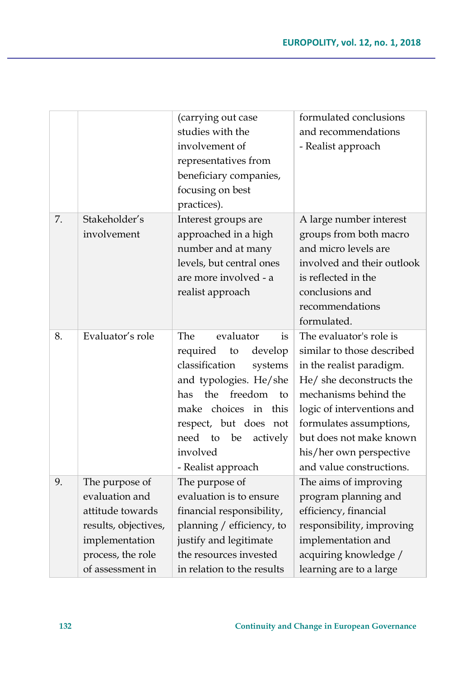|    |                                                                                                                                         | (carrying out case<br>studies with the<br>involvement of<br>representatives from<br>beneficiary companies,<br>focusing on best<br>practices).                                                                                                                | formulated conclusions<br>and recommendations<br>- Realist approach                                                                                                                                                                                                               |
|----|-----------------------------------------------------------------------------------------------------------------------------------------|--------------------------------------------------------------------------------------------------------------------------------------------------------------------------------------------------------------------------------------------------------------|-----------------------------------------------------------------------------------------------------------------------------------------------------------------------------------------------------------------------------------------------------------------------------------|
| 7. | Stakeholder's<br>involvement                                                                                                            | Interest groups are<br>approached in a high<br>number and at many<br>levels, but central ones<br>are more involved - a<br>realist approach                                                                                                                   | A large number interest<br>groups from both macro<br>and micro levels are<br>involved and their outlook<br>is reflected in the<br>conclusions and<br>recommendations<br>formulated.                                                                                               |
| 8. | Evaluator's role                                                                                                                        | The<br>evaluator<br>is<br>required<br>develop<br>to<br>classification<br>systems<br>and typologies. He/she<br>the<br>freedom<br>has<br>to<br>make choices in this<br>respect, but does not<br>need<br>to<br>be<br>actively<br>involved<br>- Realist approach | The evaluator's role is<br>similar to those described<br>in the realist paradigm.<br>He/ she deconstructs the<br>mechanisms behind the<br>logic of interventions and<br>formulates assumptions,<br>but does not make known<br>his/her own perspective<br>and value constructions. |
| 9. | The purpose of<br>evaluation and<br>attitude towards<br>results, objectives,<br>implementation<br>process, the role<br>of assessment in | The purpose of<br>evaluation is to ensure<br>financial responsibility,<br>planning / efficiency, to<br>justify and legitimate<br>the resources invested<br>in relation to the results                                                                        | The aims of improving<br>program planning and<br>efficiency, financial<br>responsibility, improving<br>implementation and<br>acquiring knowledge /<br>learning are to a large                                                                                                     |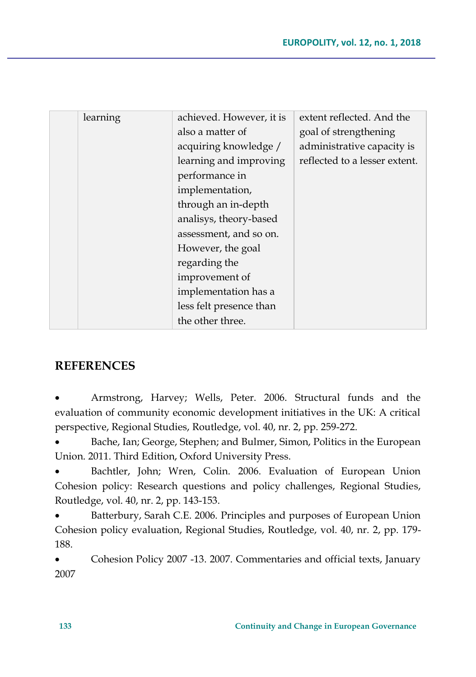| learning | achieved. However, it is | extent reflected. And the     |
|----------|--------------------------|-------------------------------|
|          | also a matter of         | goal of strengthening         |
|          | acquiring knowledge /    | administrative capacity is    |
|          | learning and improving   | reflected to a lesser extent. |
|          | performance in           |                               |
|          | implementation,          |                               |
|          | through an in-depth      |                               |
|          | analisys, theory-based   |                               |
|          | assessment, and so on.   |                               |
|          | However, the goal        |                               |
|          | regarding the            |                               |
|          | improvement of           |                               |
|          | implementation has a     |                               |
|          | less felt presence than  |                               |
|          | the other three.         |                               |
|          |                          |                               |

## **REFERENCES**

 Armstrong, Harvey; Wells, Peter. 2006. Structural funds and the evaluation of community economic development initiatives in the UK: A critical perspective, Regional Studies, Routledge, vol. 40, nr. 2, pp. 259-272.

 Bache, Ian; George, Stephen; and Bulmer, Simon, Politics in the European Union. 2011. Third Edition, Oxford University Press.

 Bachtler, John; Wren, Colin. 2006. Evaluation of European Union Cohesion policy: Research questions and policy challenges, Regional Studies, Routledge, vol. 40, nr. 2, pp. 143-153.

 Batterbury, Sarah C.E. 2006. Principles and purposes of European Union Cohesion policy evaluation, Regional Studies, Routledge, vol. 40, nr. 2, pp. 179- 188.

 Cohesion Policy 2007 -13. 2007. Commentaries and official texts, January 2007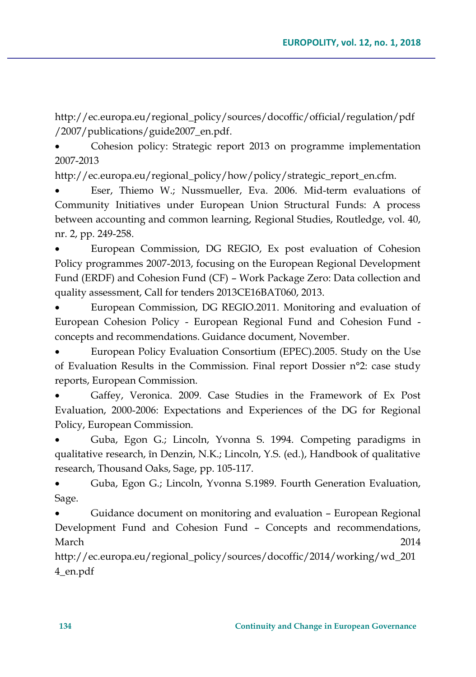http://ec.europa.eu/regional\_policy/sources/docoffic/official/regulation/pdf /2007/publications/guide2007\_en.pdf.

 Cohesion policy: Strategic report 2013 on programme implementation 2007-2013

http://ec.europa.eu/regional\_policy/how/policy/strategic\_report\_en.cfm.

 Eser, Thiemo W.; Nussmueller, Eva. 2006. Mid-term evaluations of Community Initiatives under European Union Structural Funds: A process between accounting and common learning, Regional Studies, Routledge, vol. 40, nr. 2, pp. 249-258.

 European Commission, DG REGIO, Ex post evaluation of Cohesion Policy programmes 2007-2013, focusing on the European Regional Development Fund (ERDF) and Cohesion Fund (CF) – Work Package Zero: Data collection and quality assessment, Call for tenders 2013CE16BAT060, 2013.

 European Commission, DG REGIO.2011. Monitoring and evaluation of European Cohesion Policy - European Regional Fund and Cohesion Fund concepts and recommendations. Guidance document, November.

 European Policy Evaluation Consortium (EPEC).2005. Study on the Use of Evaluation Results in the Commission. Final report Dossier n°2: case study reports, European Commission.

 Gaffey, Veronica. 2009. Case Studies in the Framework of Ex Post Evaluation, 2000-2006: Expectations and Experiences of the DG for Regional Policy, European Commission.

 Guba, Egon G.; Lincoln, Yvonna S. 1994. Competing paradigms in qualitative research, în Denzin, N.K.; Lincoln, Y.S. (ed.), Handbook of qualitative research, Thousand Oaks, Sage, pp. 105-117.

 Guba, Egon G.; Lincoln, Yvonna S.1989. Fourth Generation Evaluation, Sage.

 Guidance document on monitoring and evaluation – European Regional Development Fund and Cohesion Fund – Concepts and recommendations, March 2014

http://ec.europa.eu/regional\_policy/sources/docoffic/2014/working/wd\_201 4\_en.pdf